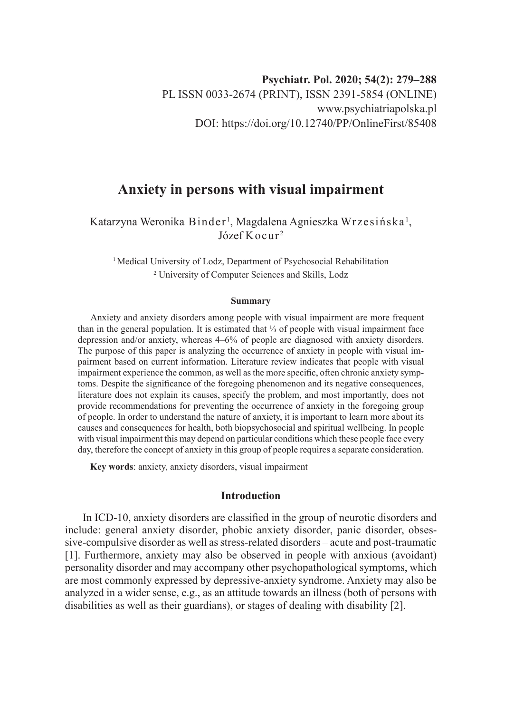# **Anxiety in persons with visual impairment**

Katarzyna Weronika Binder <sup>1</sup>, Magdalena Agnieszka Wrzesińska <sup>1</sup>,  $Józef Kocur<sup>2</sup>$ 

<sup>1</sup> Medical University of Lodz, Department of Psychosocial Rehabilitation 2 University of Computer Sciences and Skills, Lodz

#### **Summary**

Anxiety and anxiety disorders among people with visual impairment are more frequent than in the general population. It is estimated that <sup>1</sup>/<sub>3</sub> of people with visual impairment face depression and/or anxiety, whereas 4–6% of people are diagnosed with anxiety disorders. The purpose of this paper is analyzing the occurrence of anxiety in people with visual impairment based on current information. Literature review indicates that people with visual impairment experience the common, as well as the more specific, often chronic anxiety symptoms. Despite the significance of the foregoing phenomenon and its negative consequences, literature does not explain its causes, specify the problem, and most importantly, does not provide recommendations for preventing the occurrence of anxiety in the foregoing group of people. In order to understand the nature of anxiety, it is important to learn more about its causes and consequences for health, both biopsychosocial and spiritual wellbeing. In people with visual impairment this may depend on particular conditions which these people face every day, therefore the concept of anxiety in this group of people requires a separate consideration.

**Key words**: anxiety, anxiety disorders, visual impairment

## **Introduction**

In ICD-10, anxiety disorders are classified in the group of neurotic disorders and include: general anxiety disorder, phobic anxiety disorder, panic disorder, obsessive-compulsive disorder as well as stress-related disorders – acute and post-traumatic [1]. Furthermore, anxiety may also be observed in people with anxious (avoidant) personality disorder and may accompany other psychopathological symptoms, which are most commonly expressed by depressive-anxiety syndrome. Anxiety may also be analyzed in a wider sense, e.g., as an attitude towards an illness (both of persons with disabilities as well as their guardians), or stages of dealing with disability [2].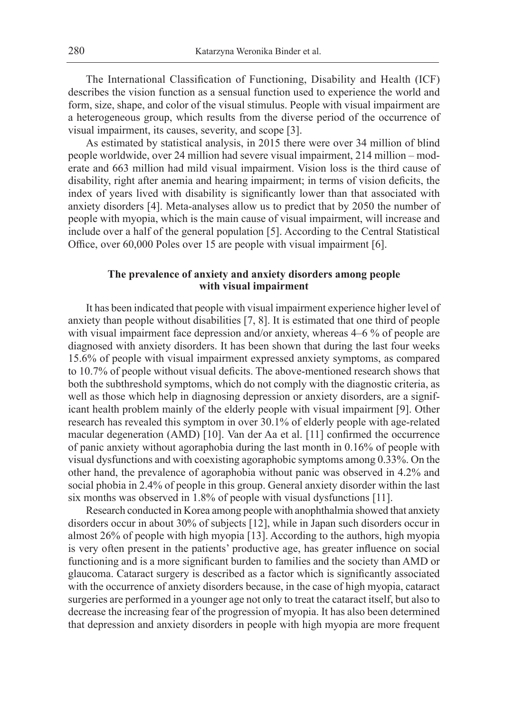The International Classification of Functioning, Disability and Health (ICF) describes the vision function as a sensual function used to experience the world and form, size, shape, and color of the visual stimulus. People with visual impairment are a heterogeneous group, which results from the diverse period of the occurrence of visual impairment, its causes, severity, and scope [3].

As estimated by statistical analysis, in 2015 there were over 34 million of blind people worldwide, over 24 million had severe visual impairment, 214 million – moderate and 663 million had mild visual impairment. Vision loss is the third cause of disability, right after anemia and hearing impairment; in terms of vision deficits, the index of years lived with disability is significantly lower than that associated with anxiety disorders [4]. Meta-analyses allow us to predict that by 2050 the number of people with myopia, which is the main cause of visual impairment, will increase and include over a half of the general population [5]. According to the Central Statistical Office, over 60,000 Poles over 15 are people with visual impairment [6].

## **The prevalence of anxiety and anxiety disorders among people with visual impairment**

It has been indicated that people with visual impairment experience higher level of anxiety than people without disabilities [7, 8]. It is estimated that one third of people with visual impairment face depression and/or anxiety, whereas 4–6 % of people are diagnosed with anxiety disorders. It has been shown that during the last four weeks 15.6% of people with visual impairment expressed anxiety symptoms, as compared to 10.7% of people without visual deficits. The above-mentioned research shows that both the subthreshold symptoms, which do not comply with the diagnostic criteria, as well as those which help in diagnosing depression or anxiety disorders, are a significant health problem mainly of the elderly people with visual impairment [9]. Other research has revealed this symptom in over 30.1% of elderly people with age-related macular degeneration (AMD) [10]. Van der Aa et al. [11] confirmed the occurrence of panic anxiety without agoraphobia during the last month in 0.16% of people with visual dysfunctions and with coexisting agoraphobic symptoms among 0.33%. On the other hand, the prevalence of agoraphobia without panic was observed in 4.2% and social phobia in 2.4% of people in this group. General anxiety disorder within the last six months was observed in 1.8% of people with visual dysfunctions [11].

Research conducted in Korea among people with anophthalmia showed that anxiety disorders occur in about 30% of subjects [12], while in Japan such disorders occur in almost 26% of people with high myopia [13]. According to the authors, high myopia is very often present in the patients' productive age, has greater influence on social functioning and is a more significant burden to families and the society than AMD or glaucoma. Cataract surgery is described as a factor which is significantly associated with the occurrence of anxiety disorders because, in the case of high myopia, cataract surgeries are performed in a younger age not only to treat the cataract itself, but also to decrease the increasing fear of the progression of myopia. It has also been determined that depression and anxiety disorders in people with high myopia are more frequent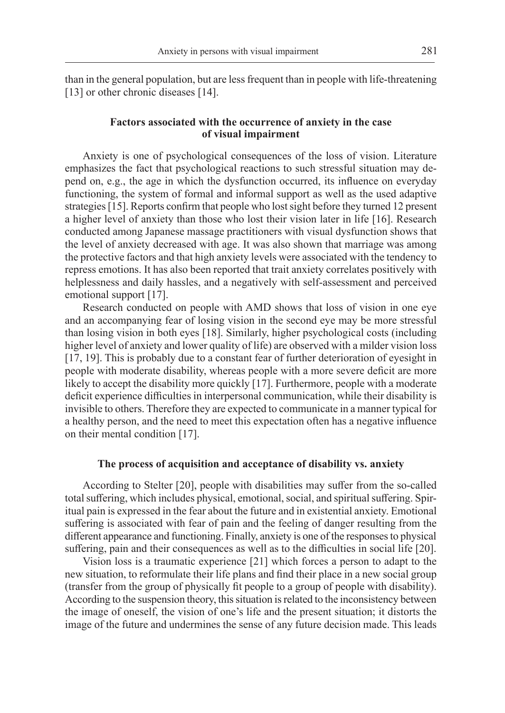than in the general population, but are less frequent than in people with life-threatening [13] or other chronic diseases [14].

## **Factors associated with the occurrence of anxiety in the case of visual impairment**

Anxiety is one of psychological consequences of the loss of vision. Literature emphasizes the fact that psychological reactions to such stressful situation may depend on, e.g., the age in which the dysfunction occurred, its influence on everyday functioning, the system of formal and informal support as well as the used adaptive strategies [15]. Reports confirm that people who lost sight before they turned 12 present a higher level of anxiety than those who lost their vision later in life [16]. Research conducted among Japanese massage practitioners with visual dysfunction shows that the level of anxiety decreased with age. It was also shown that marriage was among the protective factors and that high anxiety levels were associated with the tendency to repress emotions. It has also been reported that trait anxiety correlates positively with helplessness and daily hassles, and a negatively with self-assessment and perceived emotional support [17].

Research conducted on people with AMD shows that loss of vision in one eye and an accompanying fear of losing vision in the second eye may be more stressful than losing vision in both eyes [18]. Similarly, higher psychological costs (including higher level of anxiety and lower quality of life) are observed with a milder vision loss [17, 19]. This is probably due to a constant fear of further deterioration of eyesight in people with moderate disability, whereas people with a more severe deficit are more likely to accept the disability more quickly [17]. Furthermore, people with a moderate deficit experience difficulties in interpersonal communication, while their disability is invisible to others. Therefore they are expected to communicate in a manner typical for a healthy person, and the need to meet this expectation often has a negative influence on their mental condition [17].

#### **The process of acquisition and acceptance of disability vs. anxiety**

According to Stelter [20], people with disabilities may suffer from the so-called total suffering, which includes physical, emotional, social, and spiritual suffering. Spiritual pain is expressed in the fear about the future and in existential anxiety. Emotional suffering is associated with fear of pain and the feeling of danger resulting from the different appearance and functioning. Finally, anxiety is one of the responses to physical suffering, pain and their consequences as well as to the difficulties in social life [20].

Vision loss is a traumatic experience [21] which forces a person to adapt to the new situation, to reformulate their life plans and find their place in a new social group (transfer from the group of physically fit people to a group of people with disability). According to the suspension theory, this situation is related to the inconsistency between the image of oneself, the vision of one's life and the present situation; it distorts the image of the future and undermines the sense of any future decision made. This leads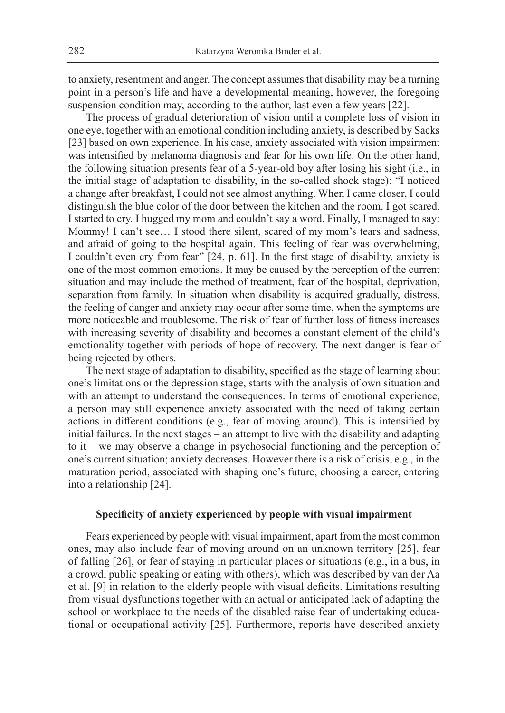to anxiety, resentment and anger. The concept assumes that disability may be a turning point in a person's life and have a developmental meaning, however, the foregoing suspension condition may, according to the author, last even a few years [22].

The process of gradual deterioration of vision until a complete loss of vision in one eye, together with an emotional condition including anxiety, is described by Sacks [23] based on own experience. In his case, anxiety associated with vision impairment was intensified by melanoma diagnosis and fear for his own life. On the other hand, the following situation presents fear of a 5-year-old boy after losing his sight (i.e., in the initial stage of adaptation to disability, in the so-called shock stage): "I noticed a change after breakfast, I could not see almost anything. When I came closer, I could distinguish the blue color of the door between the kitchen and the room. I got scared. I started to cry. I hugged my mom and couldn't say a word. Finally, I managed to say: Mommy! I can't see… I stood there silent, scared of my mom's tears and sadness, and afraid of going to the hospital again. This feeling of fear was overwhelming, I couldn't even cry from fear" [24, p. 61]. In the first stage of disability, anxiety is one of the most common emotions. It may be caused by the perception of the current situation and may include the method of treatment, fear of the hospital, deprivation, separation from family. In situation when disability is acquired gradually, distress, the feeling of danger and anxiety may occur after some time, when the symptoms are more noticeable and troublesome. The risk of fear of further loss of fitness increases with increasing severity of disability and becomes a constant element of the child's emotionality together with periods of hope of recovery. The next danger is fear of being rejected by others.

The next stage of adaptation to disability, specified as the stage of learning about one's limitations or the depression stage, starts with the analysis of own situation and with an attempt to understand the consequences. In terms of emotional experience, a person may still experience anxiety associated with the need of taking certain actions in different conditions (e.g., fear of moving around). This is intensified by initial failures. In the next stages – an attempt to live with the disability and adapting to it – we may observe a change in psychosocial functioning and the perception of one's current situation; anxiety decreases. However there is a risk of crisis, e.g., in the maturation period, associated with shaping one's future, choosing a career, entering into a relationship [24].

### **Specificity of anxiety experienced by people with visual impairment**

Fears experienced by people with visual impairment, apart from the most common ones, may also include fear of moving around on an unknown territory [25], fear of falling [26], or fear of staying in particular places or situations (e.g., in a bus, in a crowd, public speaking or eating with others), which was described by van der Aa et al. [9] in relation to the elderly people with visual deficits. Limitations resulting from visual dysfunctions together with an actual or anticipated lack of adapting the school or workplace to the needs of the disabled raise fear of undertaking educational or occupational activity [25]. Furthermore, reports have described anxiety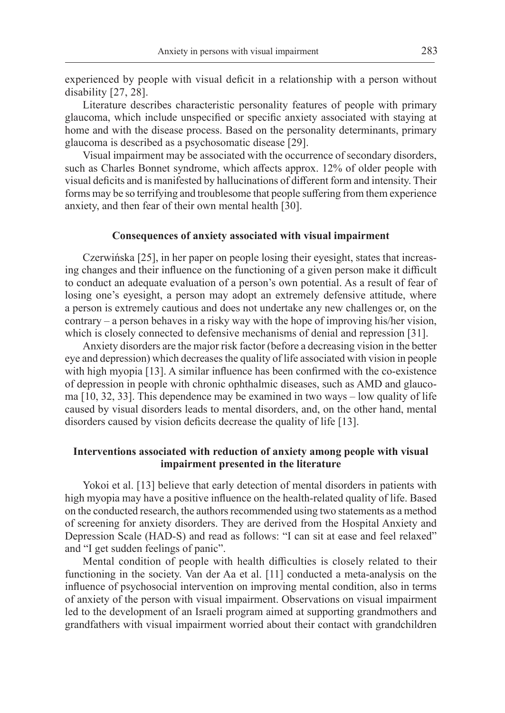experienced by people with visual deficit in a relationship with a person without disability [27, 28].

Literature describes characteristic personality features of people with primary glaucoma, which include unspecified or specific anxiety associated with staying at home and with the disease process. Based on the personality determinants, primary glaucoma is described as a psychosomatic disease [29].

Visual impairment may be associated with the occurrence of secondary disorders, such as Charles Bonnet syndrome, which affects approx. 12% of older people with visual deficits and is manifested by hallucinations of different form and intensity. Their forms may be so terrifying and troublesome that people suffering from them experience anxiety, and then fear of their own mental health [30].

### **Consequences of anxiety associated with visual impairment**

Czerwińska [25], in her paper on people losing their eyesight, states that increasing changes and their influence on the functioning of a given person make it difficult to conduct an adequate evaluation of a person's own potential. As a result of fear of losing one's eyesight, a person may adopt an extremely defensive attitude, where a person is extremely cautious and does not undertake any new challenges or, on the contrary – a person behaves in a risky way with the hope of improving his/her vision, which is closely connected to defensive mechanisms of denial and repression [31].

Anxiety disorders are the major risk factor (before a decreasing vision in the better eye and depression) which decreases the quality of life associated with vision in people with high myopia [13]. A similar influence has been confirmed with the co-existence of depression in people with chronic ophthalmic diseases, such as AMD and glaucoma [10, 32, 33]. This dependence may be examined in two ways – low quality of life caused by visual disorders leads to mental disorders, and, on the other hand, mental disorders caused by vision deficits decrease the quality of life [13].

## **Interventions associated with reduction of anxiety among people with visual impairment presented in the literature**

Yokoi et al. [13] believe that early detection of mental disorders in patients with high myopia may have a positive influence on the health-related quality of life. Based on the conducted research, the authors recommended using two statements as a method of screening for anxiety disorders. They are derived from the Hospital Anxiety and Depression Scale (HAD-S) and read as follows: "I can sit at ease and feel relaxed" and "I get sudden feelings of panic".

Mental condition of people with health difficulties is closely related to their functioning in the society. Van der Aa et al. [11] conducted a meta-analysis on the influence of psychosocial intervention on improving mental condition, also in terms of anxiety of the person with visual impairment. Observations on visual impairment led to the development of an Israeli program aimed at supporting grandmothers and grandfathers with visual impairment worried about their contact with grandchildren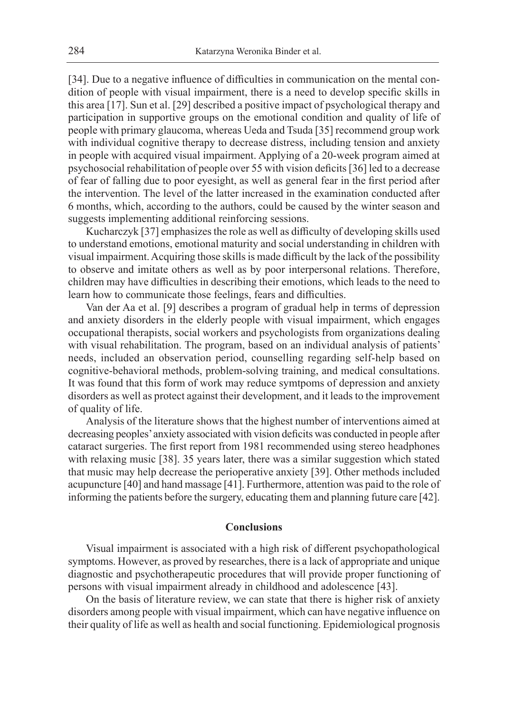[34]. Due to a negative influence of difficulties in communication on the mental condition of people with visual impairment, there is a need to develop specific skills in this area [17]. Sun et al. [29] described a positive impact of psychological therapy and participation in supportive groups on the emotional condition and quality of life of people with primary glaucoma, whereas Ueda and Tsuda [35] recommend group work with individual cognitive therapy to decrease distress, including tension and anxiety in people with acquired visual impairment. Applying of a 20-week program aimed at psychosocial rehabilitation of people over 55 with vision deficits [36] led to a decrease of fear of falling due to poor eyesight, as well as general fear in the first period after the intervention. The level of the latter increased in the examination conducted after 6 months, which, according to the authors, could be caused by the winter season and suggests implementing additional reinforcing sessions.

Kucharczyk [37] emphasizes the role as well as difficulty of developing skills used to understand emotions, emotional maturity and social understanding in children with visual impairment. Acquiring those skills is made difficult by the lack of the possibility to observe and imitate others as well as by poor interpersonal relations. Therefore, children may have difficulties in describing their emotions, which leads to the need to learn how to communicate those feelings, fears and difficulties.

Van der Aa et al. [9] describes a program of gradual help in terms of depression and anxiety disorders in the elderly people with visual impairment, which engages occupational therapists, social workers and psychologists from organizations dealing with visual rehabilitation. The program, based on an individual analysis of patients' needs, included an observation period, counselling regarding self-help based on cognitive-behavioral methods, problem-solving training, and medical consultations. It was found that this form of work may reduce symtpoms of depression and anxiety disorders as well as protect against their development, and it leads to the improvement of quality of life.

Analysis of the literature shows that the highest number of interventions aimed at decreasing peoples' anxiety associated with vision deficits was conducted in people after cataract surgeries. The first report from 1981 recommended using stereo headphones with relaxing music [38]. 35 years later, there was a similar suggestion which stated that music may help decrease the perioperative anxiety [39]. Other methods included acupuncture [40] and hand massage [41]. Furthermore, attention was paid to the role of informing the patients before the surgery, educating them and planning future care [42].

### **Conclusions**

Visual impairment is associated with a high risk of different psychopathological symptoms. However, as proved by researches, there is a lack of appropriate and unique diagnostic and psychotherapeutic procedures that will provide proper functioning of persons with visual impairment already in childhood and adolescence [43].

On the basis of literature review, we can state that there is higher risk of anxiety disorders among people with visual impairment, which can have negative influence on their quality of life as well as health and social functioning. Epidemiological prognosis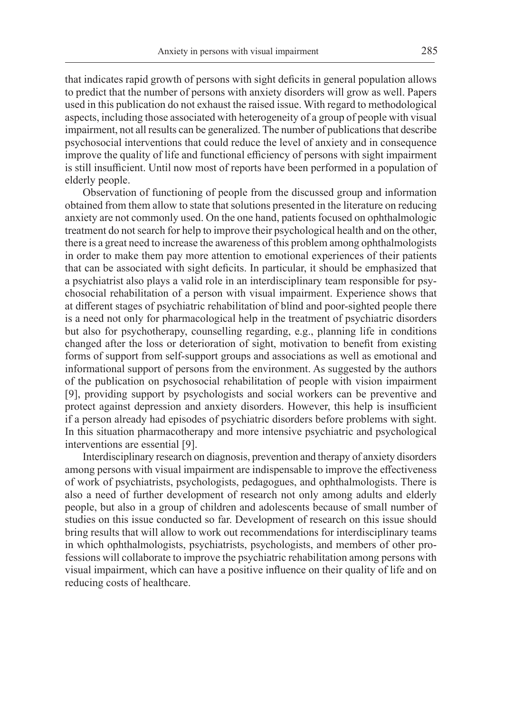that indicates rapid growth of persons with sight deficits in general population allows to predict that the number of persons with anxiety disorders will grow as well. Papers used in this publication do not exhaust the raised issue. With regard to methodological aspects, including those associated with heterogeneity of a group of people with visual impairment, not all results can be generalized. The number of publications that describe psychosocial interventions that could reduce the level of anxiety and in consequence improve the quality of life and functional efficiency of persons with sight impairment is still insufficient. Until now most of reports have been performed in a population of elderly people.

Observation of functioning of people from the discussed group and information obtained from them allow to state that solutions presented in the literature on reducing anxiety are not commonly used. On the one hand, patients focused on ophthalmologic treatment do not search for help to improve their psychological health and on the other, there is a great need to increase the awareness of this problem among ophthalmologists in order to make them pay more attention to emotional experiences of their patients that can be associated with sight deficits. In particular, it should be emphasized that a psychiatrist also plays a valid role in an interdisciplinary team responsible for psychosocial rehabilitation of a person with visual impairment. Experience shows that at different stages of psychiatric rehabilitation of blind and poor-sighted people there is a need not only for pharmacological help in the treatment of psychiatric disorders but also for psychotherapy, counselling regarding, e.g., planning life in conditions changed after the loss or deterioration of sight, motivation to benefit from existing forms of support from self-support groups and associations as well as emotional and informational support of persons from the environment. As suggested by the authors of the publication on psychosocial rehabilitation of people with vision impairment [9], providing support by psychologists and social workers can be preventive and protect against depression and anxiety disorders. However, this help is insufficient if a person already had episodes of psychiatric disorders before problems with sight. In this situation pharmacotherapy and more intensive psychiatric and psychological interventions are essential [9].

Interdisciplinary research on diagnosis, prevention and therapy of anxiety disorders among persons with visual impairment are indispensable to improve the effectiveness of work of psychiatrists, psychologists, pedagogues, and ophthalmologists. There is also a need of further development of research not only among adults and elderly people, but also in a group of children and adolescents because of small number of studies on this issue conducted so far. Development of research on this issue should bring results that will allow to work out recommendations for interdisciplinary teams in which ophthalmologists, psychiatrists, psychologists, and members of other professions will collaborate to improve the psychiatric rehabilitation among persons with visual impairment, which can have a positive influence on their quality of life and on reducing costs of healthcare.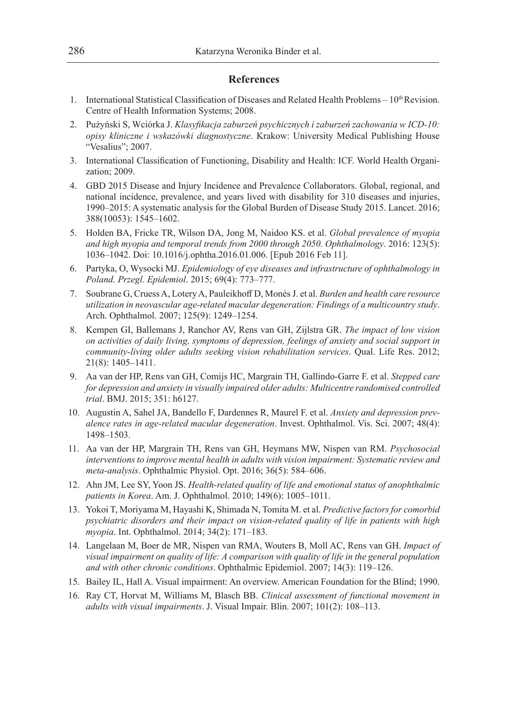## **References**

- 1. International Statistical Classification of Diseases and Related Health Problems  $10^{th}$  Revision. Centre of Health Information Systems; 2008.
- 2. Pużyński S, Wciórka J. *Klasyfikacja zaburzeń psychicznych i zaburzeń zachowania w ICD-10: opisy kliniczne i wskazówki diagnostyczne*. Krakow: University Medical Publishing House "Vesalius"; 2007.
- 3. International Classification of Functioning, Disability and Health: ICF. World Health Organization; 2009.
- 4. GBD 2015 Disease and Injury Incidence and Prevalence Collaborators. Global, regional, and national incidence, prevalence, and years lived with disability for 310 diseases and injuries, 1990–2015: A systematic analysis for the Global Burden of Disease Study 2015. Lancet. 2016; 388(10053): 1545–1602.
- 5. Holden BA, Fricke TR, Wilson DA, Jong M, Naidoo KS. et al. *Global prevalence of myopia and high myopia and temporal trends from 2000 through 2050. Ophthalmology*. 2016: 123(5): 1036–1042. Doi: 10.1016/j.ophtha.2016.01.006. [Epub 2016 Feb 11].
- 6. Partyka, O, Wysocki MJ. *Epidemiology of eye diseases and infrastructure of ophthalmology in Poland. Przegl. Epidemiol*. 2015; 69(4): 773–777.
- 7. Soubrane G, Cruess A, Lotery A, Pauleikhoff D, Monès J. et al. *Burden and health care resource utilization in neovascular age-related macular degeneration: Findings of a multicountry study*. Arch. Ophthalmol. 2007; 125(9): 1249–1254.
- 8. Kempen GI, Ballemans J, Ranchor AV, Rens van GH, Zijlstra GR. *The impact of low vision on activities of daily living, symptoms of depression, feelings of anxiety and social support in community-living older adults seeking vision rehabilitation services*. Qual. Life Res. 2012; 21(8): 1405–1411.
- 9. Aa van der HP, Rens van GH, Comijs HC, Margrain TH, Gallindo-Garre F. et al. *Stepped care for depression and anxiety in visually impaired older adults: Multicentre randomised controlled trial*. BMJ. 2015; 351: h6127.
- 10. Augustin A, Sahel JA, Bandello F, Dardennes R, Maurel F. et al. *Anxiety and depression prevalence rates in age-related macular degeneration*. Invest. Ophthalmol. Vis. Sci. 2007; 48(4): 1498–1503.
- 11. Aa van der HP, Margrain TH, Rens van GH, Heymans MW, Nispen van RM. *Psychosocial interventions to improve mental health in adults with vision impairment: Systematic review and meta-analysis*. Ophthalmic Physiol. Opt. 2016; 36(5): 584–606.
- 12. Ahn JM, Lee SY, Yoon JS. *Health-related quality of life and emotional status of anophthalmic patients in Korea*. Am. J. Ophthalmol. 2010; 149(6): 1005–1011.
- 13. Yokoi T, Moriyama M, Hayashi K, Shimada N, Tomita M. et al. *Predictive factors for comorbid psychiatric disorders and their impact on vision-related quality of life in patients with high myopia*. Int. Ophthalmol. 2014; 34(2): 171–183.
- 14. Langelaan M, Boer de MR, Nispen van RMA, Wouters B, Moll AC, Rens van GH. *Impact of visual impairment on quality of life: A comparison with quality of life in the general population and with other chronic conditions*. Ophthalmic Epidemiol. 2007; 14(3): 119–126.
- 15. Bailey IL, Hall A. Visual impairment: An overview. American Foundation for the Blind; 1990.
- 16. Ray CT, Horvat M, Williams M, Blasch BB. *Clinical assessment of functional movement in adults with visual impairments*. J. Visual Impair. Blin. 2007; 101(2): 108–113.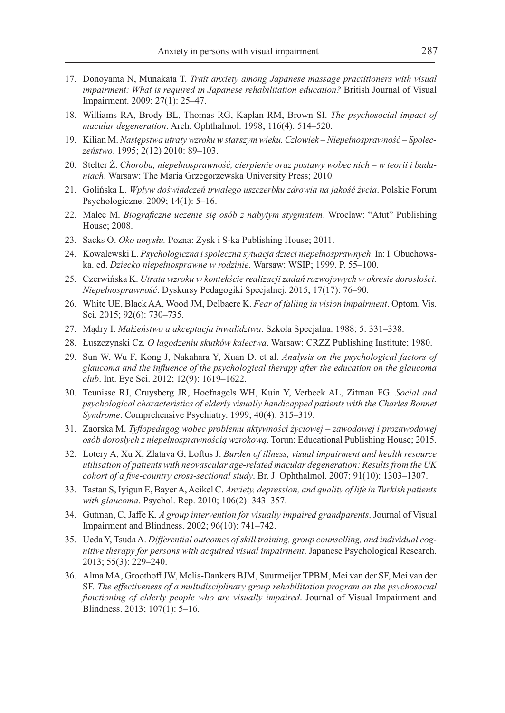- 17. Donoyama N, Munakata T. *Trait anxiety among Japanese massage practitioners with visual impairment: What is required in Japanese rehabilitation education?* British Journal of Visual Impairment. 2009; 27(1): 25–47.
- 18. Williams RA, Brody BL, Thomas RG, Kaplan RM, Brown SI. *The psychosocial impact of macular degeneration*. Arch. Ophthalmol. 1998; 116(4): 514–520.
- 19. Kilian M. *Następstwa utraty wzroku w starszym wieku. Człowiek Niepełnosprawność Społeczeństwo*. 1995; 2(12) 2010: 89–103.
- 20. Stelter Ż. *Choroba, niepełnosprawność, cierpienie oraz postawy wobec nich w teorii i badaniach*. Warsaw: The Maria Grzegorzewska University Press; 2010.
- 21. Golińska L. *Wpływ doświadczeń trwałego uszczerbku zdrowia na jakość życia*. Polskie Forum Psychologiczne. 2009; 14(1): 5–16.
- 22. Malec M. *Biograficzne uczenie się osób z nabytym stygmatem*. Wroclaw: "Atut" Publishing House; 2008.
- 23. Sacks O. *Oko umysłu.* Pozna: Zysk i S-ka Publishing House; 2011.
- 24. Kowalewski L. *Psychologiczna i społeczna sytuacja dzieci niepełnosprawnych*. In: I. Obuchowska. ed. *Dziecko niepełnosprawne w rodzinie*. Warsaw: WSIP; 1999. P. 55–100.
- 25. Czerwińska K. *Utrata wzroku w kontekście realizacji zadań rozwojowych w okresie dorosłości. Niepełnosprawność*. Dyskursy Pedagogiki Specjalnej. 2015; 17(17): 76–90.
- 26. White UE, Black AA, Wood JM, Delbaere K. *Fear of falling in vision impairment*. Optom. Vis. Sci. 2015; 92(6): 730–735.
- 27. Mądry I. *Małżeństwo a akceptacja inwalidztwa*. Szkoła Specjalna. 1988; 5: 331–338.
- 28. Łuszczynski Cz. *O łagodzeniu skutków kalectwa*. Warsaw: CRZZ Publishing Institute; 1980.
- 29. Sun W, Wu F, Kong J, Nakahara Y, Xuan D. et al. *Analysis on the psychological factors of glaucoma and the influence of the psychological therapy after the education on the glaucoma club*. Int. Eye Sci. 2012; 12(9): 1619–1622.
- 30. Teunisse RJ, Cruysberg JR, Hoefnagels WH, Kuin Y, Verbeek AL, Zitman FG. *Social and psychological characteristics of elderly visually handicapped patients with the Charles Bonnet Syndrome*. Comprehensive Psychiatry. 1999; 40(4): 315–319.
- 31. Zaorska M. *Tyflopedagog wobec problemu aktywności życiowej zawodowej i prozawodowej osób dorosłych z niepełnosprawnością wzrokową*. Torun: Educational Publishing House; 2015.
- 32. Lotery A, Xu X, Zlatava G, Loftus J. *Burden of illness, visual impairment and health resource utilisation of patients with neovascular age-related macular degeneration: Results from the UK cohort of a five-country cross-sectional study*. Br. J. Ophthalmol. 2007; 91(10): 1303–1307.
- 33. Tastan S, Iyigun E, Bayer A, Acikel C. *Anxiety, depression, and quality of life in Turkish patients with glaucoma*. Psychol. Rep. 2010; 106(2): 343–357.
- 34. Gutman, C, Jaffe K. *A group intervention for visually impaired grandparents*. Journal of Visual Impairment and Blindness. 2002; 96(10): 741–742.
- 35. Ueda Y, Tsuda A. *Differential outcomes of skill training, group counselling, and individual cognitive therapy for persons with acquired visual impairment*. Japanese Psychological Research. 2013; 55(3): 229–240.
- 36. Alma MA, Groothoff JW, Melis-Dankers BJM, Suurmeijer TPBM, Mei van der SF, Mei van der SF. *The effectiveness of a multidisciplinary group rehabilitation program on the psychosocial functioning of elderly people who are visually impaired*. Journal of Visual Impairment and Blindness. 2013; 107(1): 5–16.